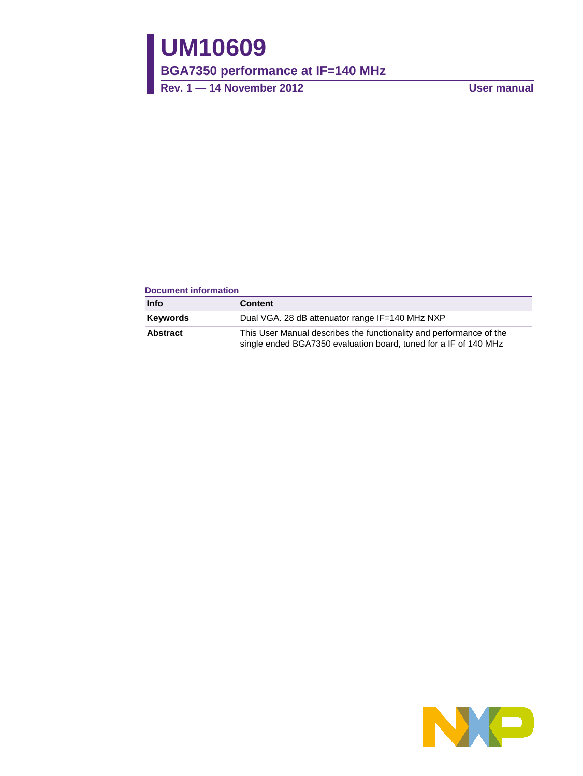# **UM10609**

**BGA7350 performance at IF=140 MHz**

**Rev. 1 — 14 November 2012 User manual**

### **Document information**

| Info     | <b>Content</b>                                                                                                                          |
|----------|-----------------------------------------------------------------------------------------------------------------------------------------|
| Keywords | Dual VGA. 28 dB attenuator range IF=140 MHz NXP                                                                                         |
| Abstract | This User Manual describes the functionality and performance of the<br>single ended BGA7350 evaluation board, tuned for a IF of 140 MHz |

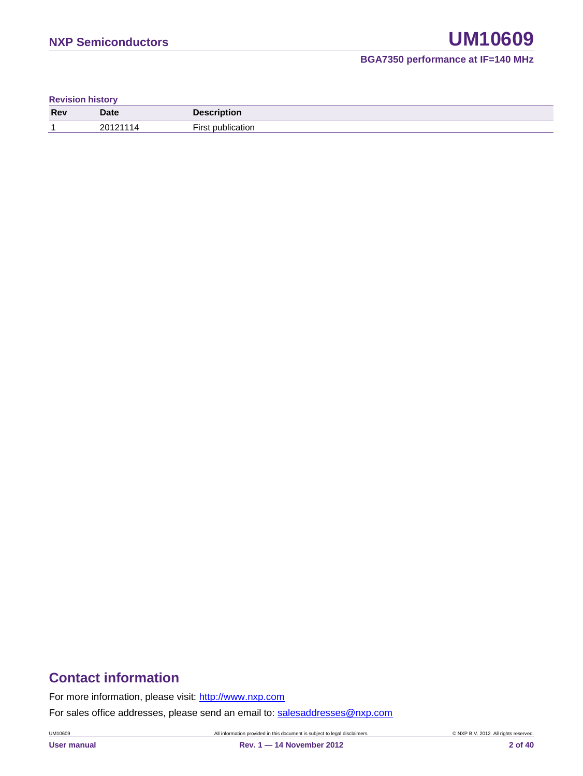**Revision history**

| Rev | <b>Date</b> | <b>Description</b> |
|-----|-------------|--------------------|
|     | 20121       | --<br>ıtı∩r        |

## **Contact information**

For more information, please visit: [http://www.nxp.com](http://www.nxp.com/)

For sales office addresses, please send an email to: [salesaddresses@nxp.com](mailto:salesaddresses@nxp.com)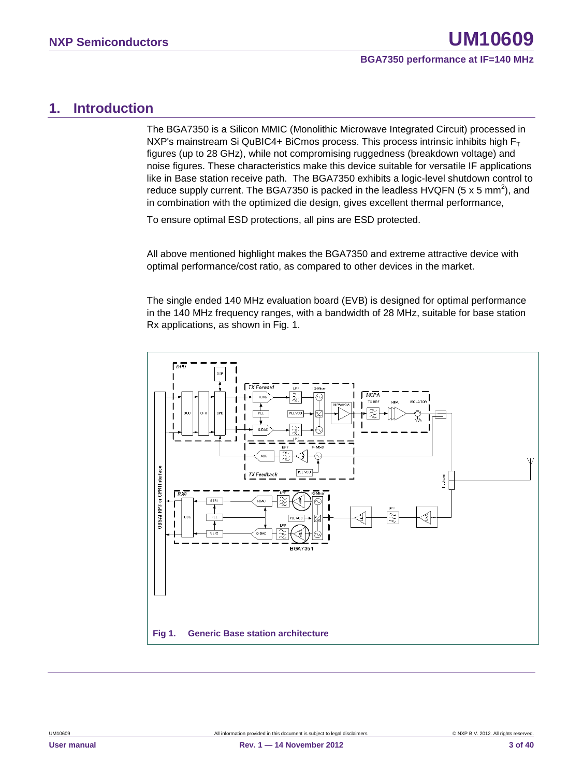### <span id="page-2-0"></span>**1. Introduction**

The BGA7350 is a Silicon MMIC (Monolithic Microwave Integrated Circuit) processed in NXP's mainstream Si QuBIC4+ BiCmos process. This process intrinsic inhibits high  $F_T$ figures (up to 28 GHz), while not compromising ruggedness (breakdown voltage) and noise figures. These characteristics make this device suitable for versatile IF applications like in Base station receive path. The BGA7350 exhibits a logic-level shutdown control to reduce supply current. The BGA7350 is packed in the leadless HVQFN (5 x 5 mm<sup>2</sup>), and in combination with the optimized die design, gives excellent thermal performance,

To ensure optimal ESD protections, all pins are ESD protected.

All above mentioned highlight makes the BGA7350 and extreme attractive device with optimal performance/cost ratio, as compared to other devices in the market.

The single ended 140 MHz evaluation board (EVB) is designed for optimal performance in the 140 MHz frequency ranges, with a bandwidth of 28 MHz, suitable for base station Rx applications, as shown in Fig. 1.

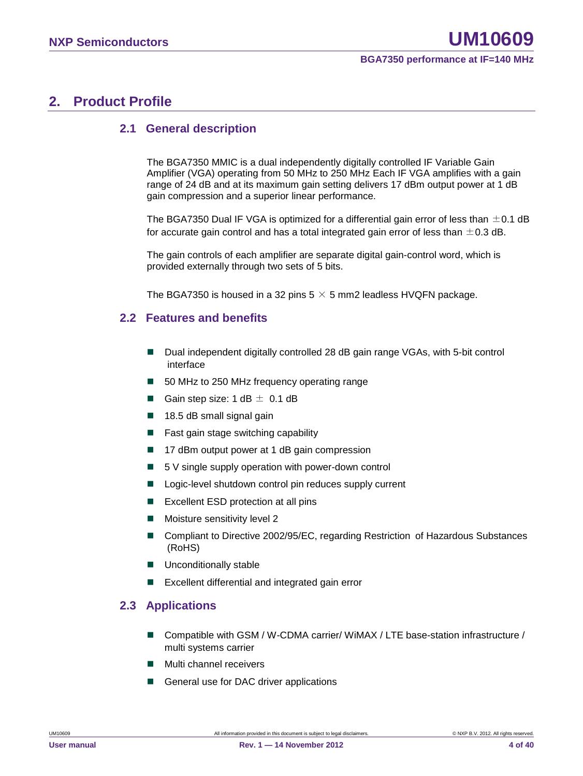### <span id="page-3-0"></span>**2. Product Profile**

### <span id="page-3-1"></span>**2.1 General description**

The BGA7350 MMIC is a dual independently digitally controlled IF Variable Gain Amplifier (VGA) operating from 50 MHz to 250 MHz Each IF VGA amplifies with a gain range of 24 dB and at its maximum gain setting delivers 17 dBm output power at 1 dB gain compression and a superior linear performance.

The BGA7350 Dual IF VGA is optimized for a differential gain error of less than  $\pm$ 0.1 dB for accurate gain control and has a total integrated gain error of less than  $\pm$  0.3 dB.

The gain controls of each amplifier are separate digital gain-control word, which is provided externally through two sets of 5 bits.

<span id="page-3-2"></span>The BGA7350 is housed in a 32 pins  $5 \times 5$  mm2 leadless HVQFN package.

### **2.2 Features and benefits**

- Dual independent digitally controlled 28 dB gain range VGAs, with 5-bit control interface
- 50 MHz to 250 MHz frequency operating range
- Gain step size:  $1 dB \pm 0.1 dB$
- $\blacksquare$  18.5 dB small signal gain
- Fast gain stage switching capability
- 17 dBm output power at 1 dB gain compression
- $\blacksquare$  5 V single supply operation with power-down control
- Logic-level shutdown control pin reduces supply current
- **EXCELLENT ESD protection at all pins**
- **Moisture sensitivity level 2**
- Compliant to Directive 2002/95/EC, regarding Restriction of Hazardous Substances (RoHS)
- **Unconditionally stable**
- <span id="page-3-3"></span>Excellent differential and integrated gain error

### **2.3 Applications**

- Compatible with GSM / W-CDMA carrier/ WiMAX / LTE base-station infrastructure / multi systems carrier
- Multi channel receivers
- General use for DAC driver applications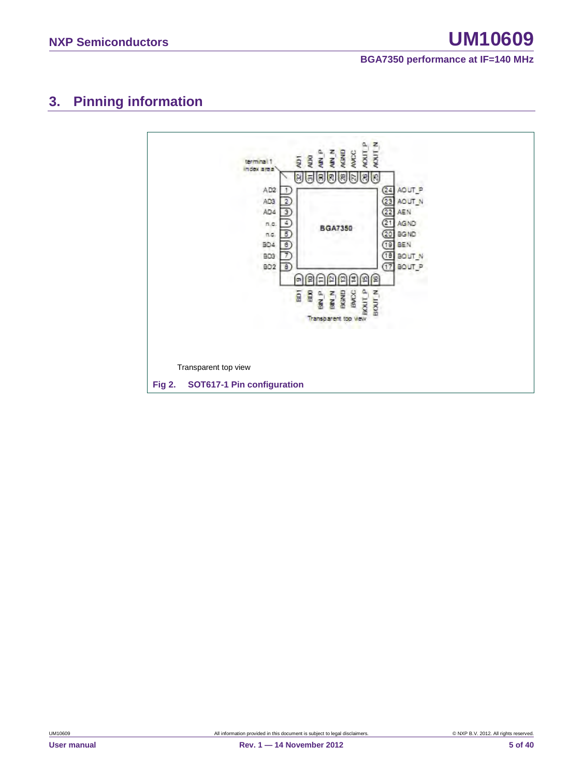# <span id="page-4-0"></span>**3. Pinning information**

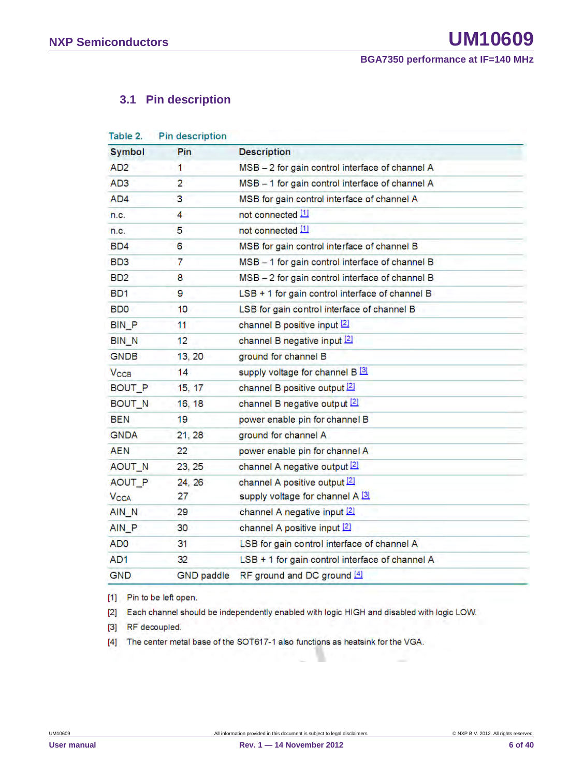### <span id="page-5-0"></span>**3.1 Pin description**

| Table 2.               | Pin description   |                                                 |
|------------------------|-------------------|-------------------------------------------------|
| <b>Symbol</b>          | Pin               | <b>Description</b>                              |
| AD <sub>2</sub>        | 1                 | MSB - 2 for gain control interface of channel A |
| AD <sub>3</sub>        | $\overline{2}$    | MSB - 1 for gain control interface of channel A |
| AD4                    | 3                 | MSB for gain control interface of channel A     |
| n.c.                   | $\overline{4}$    | not connected [1]                               |
| n.c.                   | 5                 | not connected [1]                               |
| BD4                    | 6                 | MSB for gain control interface of channel B     |
| BD <sub>3</sub>        | 7                 | MSB - 1 for gain control interface of channel B |
| BD <sub>2</sub>        | 8                 | MSB - 2 for gain control interface of channel B |
| BD <sub>1</sub>        | 9                 | LSB + 1 for gain control interface of channel B |
| <b>BDO</b>             | 10                | LSB for gain control interface of channel B     |
| <b>BIN P</b>           | 11                | channel B positive input [2]                    |
| <b>BIN N</b>           | 12                | channel B negative input [2]                    |
| <b>GNDB</b>            | 13, 20            | ground for channel B                            |
| $V_{\text{CCB}}$       | 14                | supply voltage for channel B [3]                |
| BOUT_P                 | 15, 17            | channel B positive output [2]                   |
| BOUT_N                 | 16, 18            | channel B negative output [2]                   |
| BEN                    | 19                | power enable pin for channel B                  |
| <b>GNDA</b>            | 21, 28            | ground for channel A                            |
| <b>AEN</b>             | 22                | power enable pin for channel A                  |
| AOUT N                 | 23, 25            | channel A negative output [2]                   |
| AOUT P                 | 24, 26            | channel A positive output [2]                   |
| <b>V<sub>CCA</sub></b> | 27                | supply voltage for channel A [3]                |
| AIN N                  | 29.               | channel A negative input [2]                    |
| AIN_P                  | 30                | channel A positive input [2]                    |
| AD <sub>0</sub>        | 31                | LSB for gain control interface of channel A     |
| AD <sub>1</sub>        | 32                | LSB + 1 for gain control interface of channel A |
| <b>GND</b>             | <b>GND</b> paddle | RF ground and DC ground [4]                     |

[1] Pin to be left open.

[2] Each channel should be independently enabled with logic HIGH and disabled with logic LOW.

[3] RF decoupled.

[4] The center metal base of the SOT617-1 also functions as heatsink for the VGA.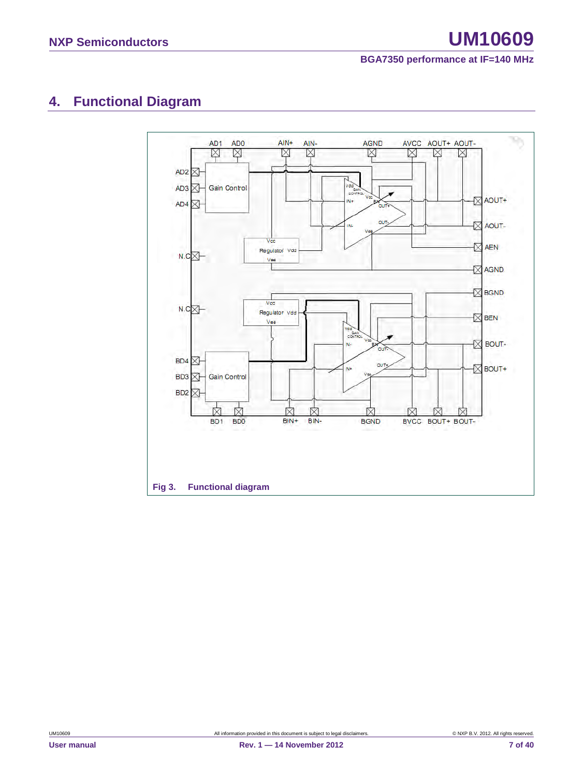# <span id="page-6-0"></span>**4. Functional Diagram**

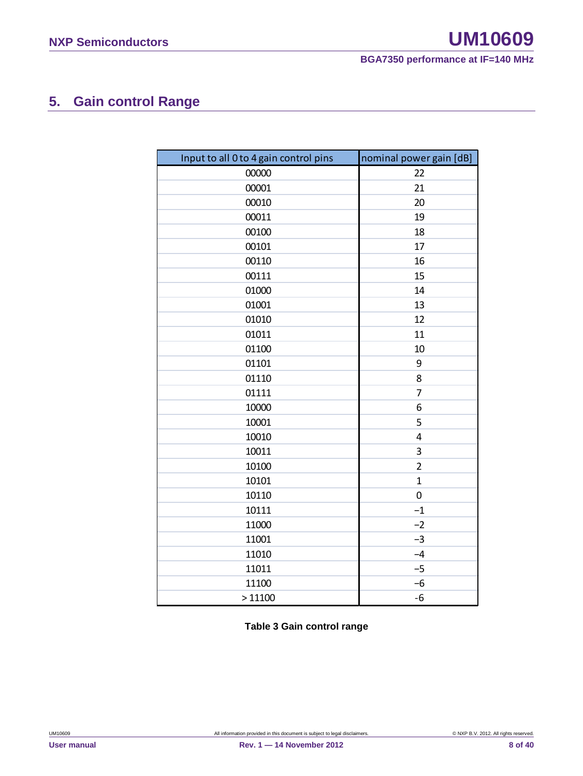# <span id="page-7-0"></span>**5. Gain control Range**

| Input to all 0 to 4 gain control pins | nominal power gain [dB] |
|---------------------------------------|-------------------------|
| 00000                                 | 22                      |
| 00001                                 | 21                      |
| 00010                                 | 20                      |
| 00011                                 | 19                      |
| 00100                                 | 18                      |
| 00101                                 | 17                      |
| 00110                                 | 16                      |
| 00111                                 | 15                      |
| 01000                                 | 14                      |
| 01001                                 | 13                      |
| 01010                                 | 12                      |
| 01011                                 | 11                      |
| 01100                                 | 10                      |
| 01101                                 | 9                       |
| 01110                                 | 8                       |
| 01111                                 | 7                       |
| 10000                                 | 6                       |
| 10001                                 | 5                       |
| 10010                                 | $\overline{4}$          |
| 10011                                 | 3                       |
| 10100                                 | $\overline{2}$          |
| 10101                                 | $\mathbf{1}$            |
| 10110                                 | $\boldsymbol{0}$        |
| 10111                                 | $-1$                    |
| 11000                                 | $-2$                    |
| 11001                                 | $-3$                    |
| 11010                                 | $-4$                    |
| 11011                                 | $-5$                    |
| 11100                                 | $-6$                    |
| >11100                                | $-6$                    |

**Table 3 Gain control range**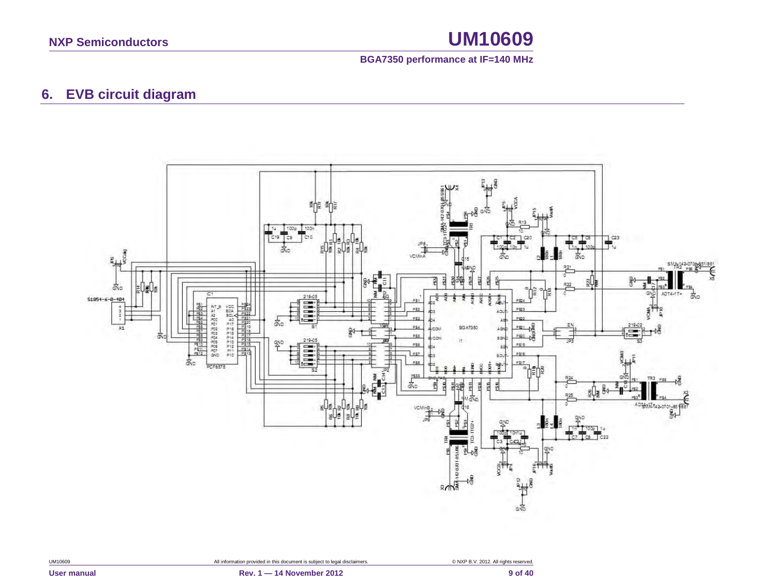### **BGA7350 performance at IF=140 MHz**

### **6. EVB circuit diagram**

<span id="page-8-0"></span>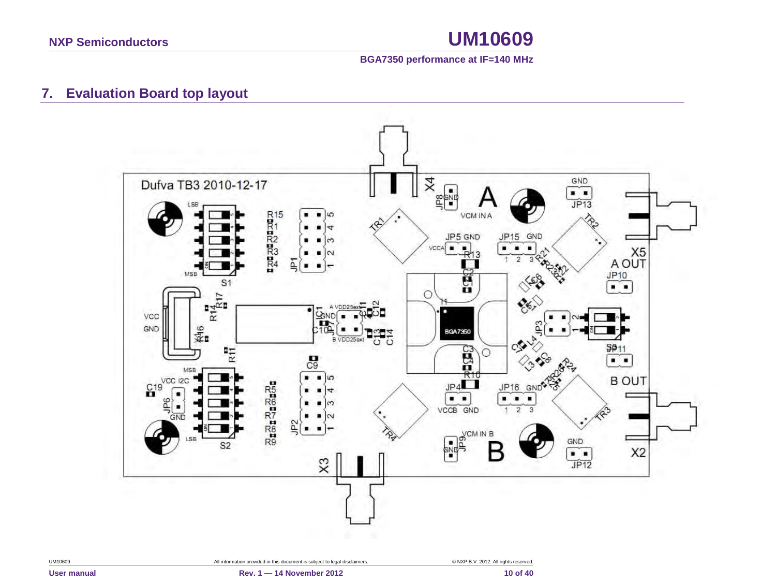

### **7. Evaluation Board top layout**

<span id="page-9-0"></span>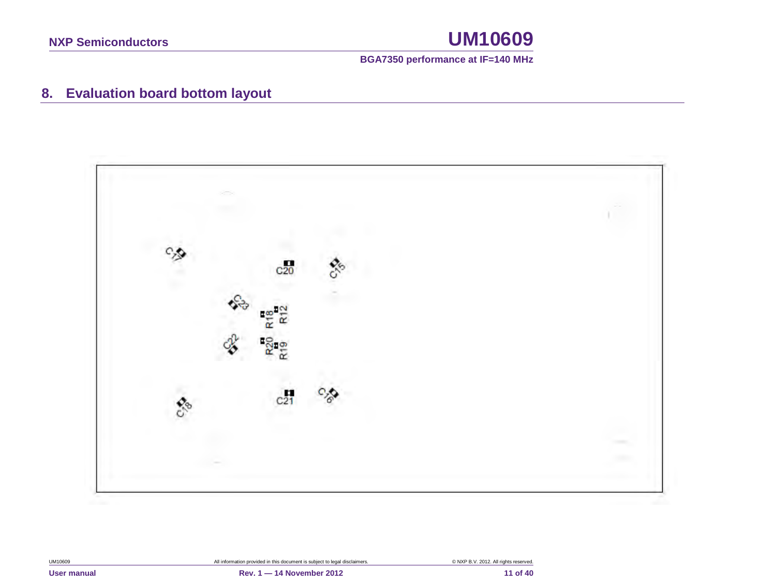

# **8. Evaluation board bottom layout**

<span id="page-10-0"></span>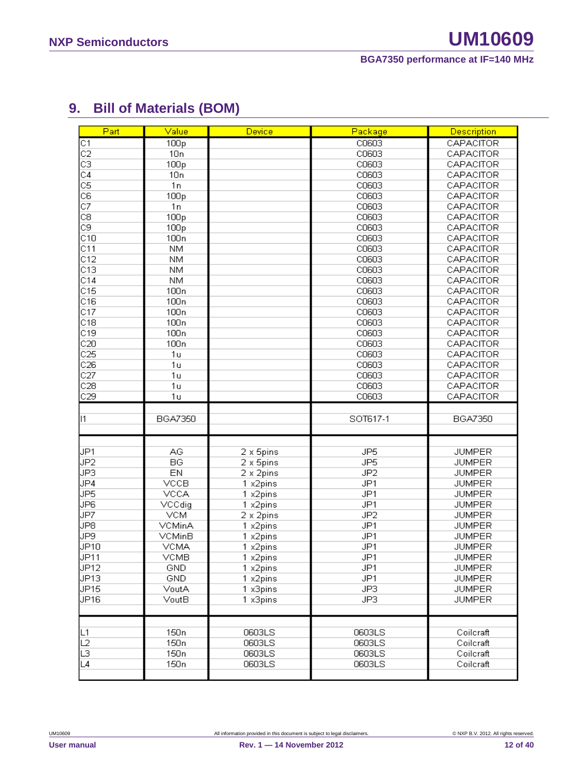# <span id="page-11-0"></span>**9. Bill of Materials (BOM)**

| Part                    | Value            | Device            | Package         | <b>Description</b> |
|-------------------------|------------------|-------------------|-----------------|--------------------|
| C1                      | 100p             |                   | C0603           | CAPACITOR          |
| $\overline{c}$          | 10n              |                   | C0603           | CAPACITOR          |
| $\overline{\text{c}}$ 3 | 100p             |                   | C0603           | CAPACITOR          |
| $\overline{C4}$         | 10n              |                   | C0603           | CAPACITOR          |
| $\overline{\text{CS}}$  | 1n               |                   | C0603           | CAPACITOR          |
| C6                      | 100p             |                   | C0603           | CAPACITOR          |
| $\overline{C7}$         | 1n               |                   | C0603           | CAPACITOR          |
| C8                      | 100p             |                   | C0603           | CAPACITOR          |
| $\overline{c}$ 9        | 100p             |                   | C0603           | CAPACITOR          |
| $\overline{C10}$        | 100 <sub>n</sub> |                   | C0603           | CAPACITOR          |
| C11                     | <b>NM</b>        |                   | C0603           | CAPACITOR          |
| C12                     | <b>NM</b>        |                   | C0603           | CAPACITOR          |
| C13                     | <b>NM</b>        |                   | C0603           | CAPACITOR          |
| C14                     | <b>NM</b>        |                   | C0603           | CAPACITOR          |
| C15                     | 100 <sub>n</sub> |                   | C0603           | CAPACITOR          |
| C16                     | 100 <sub>n</sub> |                   | C0603           | CAPACITOR          |
| C17                     | 100 <sub>n</sub> |                   | C0603           | CAPACITOR          |
| C18                     | 100 <sub>n</sub> |                   | C0603           | CAPACITOR          |
| C19                     | 100 <sub>n</sub> |                   | C0603           | CAPACITOR          |
| C20                     | 100 <sub>n</sub> |                   | C0603           | CAPACITOR          |
| C25                     | 1u               |                   | C0603           | CAPACITOR          |
| C26                     | 1u               |                   | C0603           | CAPACITOR          |
| C27                     | 1 <sub>u</sub>   |                   | C0603           | CAPACITOR          |
| $\overline{C28}$        | 1 <sub>u</sub>   |                   | C0603           | CAPACITOR          |
| C29                     | 1 <sub>u</sub>   |                   | C0603           | CAPACITOR          |
| 11                      | BGA7350          |                   | SOT617-1        | <b>BGA7350</b>     |
|                         |                  |                   |                 |                    |
|                         |                  |                   |                 |                    |
| JP1                     | AG.              | 2 x 5pins         | JP5             | <b>JUMPER</b>      |
| JP2                     | BG               | 2 x 5pins         | JP <sub>5</sub> | <b>JUMPER</b>      |
| JP3                     | EN               | 2 x 2pins         | JP <sub>2</sub> | <b>JUMPER</b>      |
| JP4                     | <b>VCCB</b>      | 1 x2pins          | JP1             | <b>JUMPER</b>      |
| JP5                     | <b>VCCA</b>      | 1 x2pins          | JP1             | <b>JUMPER</b>      |
| JP6                     | VCCdig           | 1 x2pins          | JP1             | <b>JUMPER</b>      |
| JP7                     | <b>VCM</b>       | 2 x 2pins         | JP <sub>2</sub> | <b>JUMPER</b>      |
| JP8                     | VCMinA           | 1 x2pins          | JP1             | <b>JUMPER</b>      |
| JP9                     | VCMinB           | $1 \times 2$ pins | JP1             | <b>JUMPER</b>      |
| J <sub>P10</sub>        | <b>VCMA</b>      | 1 x2pins          | JP1             | <b>JUMPER</b>      |
| JP <sub>11</sub>        | <b>VCMB</b>      | 1 x2pins          | JP1             | <b>JUMPER</b>      |
| JP12                    | GND              | 1 x2pins          | JP1             | <b>JUMPER</b>      |
| JP <sub>13</sub>        | <b>GND</b>       | 1 x2pins          | JP1             | <b>JUMPER</b>      |
| JP <sub>15</sub>        | VoutA            | 1 x3pins          | JP3             | <b>JUMPER</b>      |
| JP16                    | VoutB            | 1 x3pins          | JP3             | <b>JUMPER</b>      |
|                         |                  |                   |                 |                    |
| ∣L1                     | 150 <sub>n</sub> | 0603LS            | 0603LS          | Coilcraft          |
| L2                      |                  |                   | 0603LS          | Coilcraft          |
|                         | 150 <sub>n</sub> | 0603LS            |                 |                    |
| īз                      | 150 <sub>n</sub> | 0603LS            | 0603LS          | Coilcraft          |
| L4                      | 150 <sub>n</sub> | 0603LS            | 0603LS          | Coilcraft          |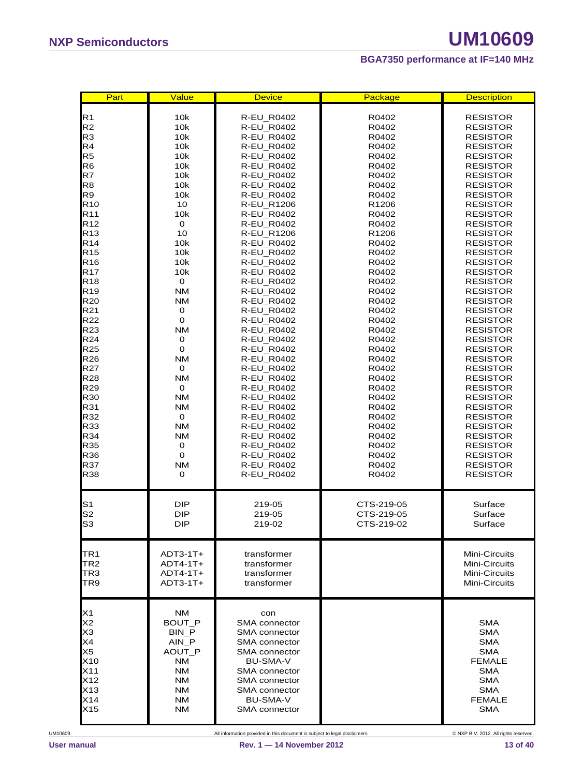| Part                                                                                         | Value                                                                                                           | <b>Device</b>                                                                                                                                                                                          | Package           | <b>Description</b>                                                                                                                             |
|----------------------------------------------------------------------------------------------|-----------------------------------------------------------------------------------------------------------------|--------------------------------------------------------------------------------------------------------------------------------------------------------------------------------------------------------|-------------------|------------------------------------------------------------------------------------------------------------------------------------------------|
| R <sub>1</sub>                                                                               | 10k                                                                                                             | R-EU_R0402                                                                                                                                                                                             | R0402             | <b>RESISTOR</b>                                                                                                                                |
| R <sub>2</sub>                                                                               | 10k                                                                                                             | <b>R-EU R0402</b>                                                                                                                                                                                      | R0402             | <b>RESISTOR</b>                                                                                                                                |
| R <sub>3</sub>                                                                               | 10k                                                                                                             | R-EU_R0402                                                                                                                                                                                             | R0402             | <b>RESISTOR</b>                                                                                                                                |
| R4                                                                                           | 10k                                                                                                             | R-EU_R0402                                                                                                                                                                                             | R0402             | RESISTOR                                                                                                                                       |
| R <sub>5</sub>                                                                               | 10k                                                                                                             | <b>R-EU R0402</b>                                                                                                                                                                                      | R0402             | RESISTOR                                                                                                                                       |
| R <sub>6</sub>                                                                               | 10k                                                                                                             | R-EU_R0402                                                                                                                                                                                             | R0402             | <b>RESISTOR</b>                                                                                                                                |
| R7                                                                                           | 10k                                                                                                             | R-EU_R0402                                                                                                                                                                                             | R0402             | RESISTOR                                                                                                                                       |
| R <sub>8</sub>                                                                               | 10k                                                                                                             | R-EU_R0402                                                                                                                                                                                             | R0402             | <b>RESISTOR</b>                                                                                                                                |
| R9                                                                                           | 10k                                                                                                             | R-EU_R0402                                                                                                                                                                                             | R0402             | <b>RESISTOR</b>                                                                                                                                |
| R <sub>10</sub>                                                                              | 10                                                                                                              | <b>R-EU R1206</b>                                                                                                                                                                                      | R <sub>1206</sub> | <b>RESISTOR</b>                                                                                                                                |
| R <sub>11</sub>                                                                              | 10k                                                                                                             | R-EU_R0402                                                                                                                                                                                             | R0402             | <b>RESISTOR</b>                                                                                                                                |
| R <sub>12</sub>                                                                              | $\mathbf 0$                                                                                                     | <b>R-EU R0402</b>                                                                                                                                                                                      | R0402             | <b>RESISTOR</b>                                                                                                                                |
| R <sub>13</sub>                                                                              | 10                                                                                                              | R-EU_R1206                                                                                                                                                                                             | R1206             | RESISTOR                                                                                                                                       |
| R <sub>14</sub>                                                                              | 10k                                                                                                             | R-EU_R0402                                                                                                                                                                                             | R0402             | <b>RESISTOR</b>                                                                                                                                |
| R <sub>15</sub>                                                                              | 10k                                                                                                             | <b>R-EU R0402</b>                                                                                                                                                                                      | R0402             | RESISTOR                                                                                                                                       |
| R <sub>16</sub>                                                                              | 10k                                                                                                             | R-EU_R0402                                                                                                                                                                                             | R0402             | <b>RESISTOR</b>                                                                                                                                |
| R <sub>17</sub>                                                                              | 10k                                                                                                             | R-EU_R0402                                                                                                                                                                                             | R0402             | <b>RESISTOR</b>                                                                                                                                |
| R18                                                                                          | 0                                                                                                               | R-EU_R0402                                                                                                                                                                                             | R0402             | RESISTOR                                                                                                                                       |
| R <sub>19</sub>                                                                              | <b>NM</b>                                                                                                       | <b>R-EU R0402</b>                                                                                                                                                                                      | R0402             | <b>RESISTOR</b>                                                                                                                                |
| R <sub>20</sub>                                                                              | <b>NM</b>                                                                                                       | R-EU_R0402                                                                                                                                                                                             | R0402             | <b>RESISTOR</b>                                                                                                                                |
| R21                                                                                          | 0                                                                                                               | <b>R-EU R0402</b>                                                                                                                                                                                      | R0402             | RESISTOR                                                                                                                                       |
| R22                                                                                          | $\mathbf 0$                                                                                                     | <b>R-EU R0402</b>                                                                                                                                                                                      | R0402             | <b>RESISTOR</b>                                                                                                                                |
| R <sub>23</sub>                                                                              | <b>NM</b>                                                                                                       | R-EU_R0402                                                                                                                                                                                             | R0402             | <b>RESISTOR</b>                                                                                                                                |
| R24                                                                                          | 0                                                                                                               | R-EU_R0402                                                                                                                                                                                             | R0402             | <b>RESISTOR</b>                                                                                                                                |
| R <sub>25</sub>                                                                              | $\mathbf 0$                                                                                                     | R-EU_R0402                                                                                                                                                                                             | R0402             | RESISTOR                                                                                                                                       |
| R <sub>26</sub>                                                                              | <b>NM</b>                                                                                                       | <b>R-EU R0402</b>                                                                                                                                                                                      | R0402             | RESISTOR                                                                                                                                       |
| R27                                                                                          | 0                                                                                                               | R-EU_R0402                                                                                                                                                                                             | R0402             | RESISTOR                                                                                                                                       |
| R <sub>28</sub>                                                                              | <b>NM</b>                                                                                                       | R-EU_R0402                                                                                                                                                                                             | R0402             | <b>RESISTOR</b>                                                                                                                                |
| R <sub>29</sub>                                                                              | $\mathbf 0$                                                                                                     | R-EU_R0402                                                                                                                                                                                             | R0402             | <b>RESISTOR</b>                                                                                                                                |
| R30                                                                                          | <b>NM</b>                                                                                                       | R-EU_R0402                                                                                                                                                                                             | R0402             | <b>RESISTOR</b>                                                                                                                                |
| R31                                                                                          | <b>NM</b>                                                                                                       | R-EU_R0402                                                                                                                                                                                             | R0402             | <b>RESISTOR</b>                                                                                                                                |
| R32                                                                                          | $\mathbf 0$                                                                                                     | <b>R-EU R0402</b>                                                                                                                                                                                      | R0402             | RESISTOR                                                                                                                                       |
| R33                                                                                          | <b>NM</b>                                                                                                       | <b>R-EU R0402</b>                                                                                                                                                                                      | R0402             | <b>RESISTOR</b>                                                                                                                                |
| R34                                                                                          | <b>NM</b>                                                                                                       | R-EU_R0402                                                                                                                                                                                             | R0402             | <b>RESISTOR</b>                                                                                                                                |
| R35                                                                                          | 0                                                                                                               | R-EU_R0402                                                                                                                                                                                             | R0402             | RESISTOR                                                                                                                                       |
| R36                                                                                          | $\mathbf 0$                                                                                                     | <b>R-EU R0402</b>                                                                                                                                                                                      | R0402             | <b>RESISTOR</b>                                                                                                                                |
| R37                                                                                          | <b>NM</b>                                                                                                       | R-EU_R0402                                                                                                                                                                                             | R0402             | <b>RESISTOR</b>                                                                                                                                |
| R38                                                                                          | 0                                                                                                               | R-EU_R0402                                                                                                                                                                                             | R0402             | <b>RESISTOR</b>                                                                                                                                |
| S <sub>1</sub>                                                                               | <b>DIP</b>                                                                                                      | 219-05                                                                                                                                                                                                 | CTS-219-05        | Surface                                                                                                                                        |
| S <sub>2</sub>                                                                               | <b>DIP</b>                                                                                                      | 219-05                                                                                                                                                                                                 | CTS-219-05        | Surface                                                                                                                                        |
| S <sub>3</sub>                                                                               | <b>DIP</b>                                                                                                      | 219-02                                                                                                                                                                                                 | CTS-219-02        | Surface                                                                                                                                        |
| TR <sub>1</sub>                                                                              | $ADT3-1T+$                                                                                                      | transformer                                                                                                                                                                                            |                   | Mini-Circuits                                                                                                                                  |
| TR <sub>2</sub>                                                                              | $ADT4-1T+$                                                                                                      | transformer                                                                                                                                                                                            |                   | Mini-Circuits                                                                                                                                  |
| TR3                                                                                          | $ADT4-1T+$                                                                                                      | transformer                                                                                                                                                                                            |                   | Mini-Circuits                                                                                                                                  |
| TR9                                                                                          | $ADT3-1T+$                                                                                                      | transformer                                                                                                                                                                                            |                   | Mini-Circuits                                                                                                                                  |
| X1<br>X <sub>2</sub><br>X <sub>3</sub><br>X4<br>X5<br>X10<br>X11<br>X12<br>X13<br>X14<br>X15 | <b>NM</b><br>BOUT P<br>BIN P<br>AIN_P<br>AOUT_P<br><b>NM</b><br>NM<br><b>NM</b><br><b>NM</b><br><b>NM</b><br>NΜ | con<br><b>SMA</b> connector<br>SMA connector<br><b>SMA</b> connector<br>SMA connector<br><b>BU-SMA-V</b><br>SMA connector<br><b>SMA</b> connector<br>SMA connector<br><b>BU-SMA-V</b><br>SMA connector |                   | <b>SMA</b><br><b>SMA</b><br><b>SMA</b><br><b>SMA</b><br><b>FEMALE</b><br><b>SMA</b><br><b>SMA</b><br><b>SMA</b><br><b>FEMALE</b><br><b>SMA</b> |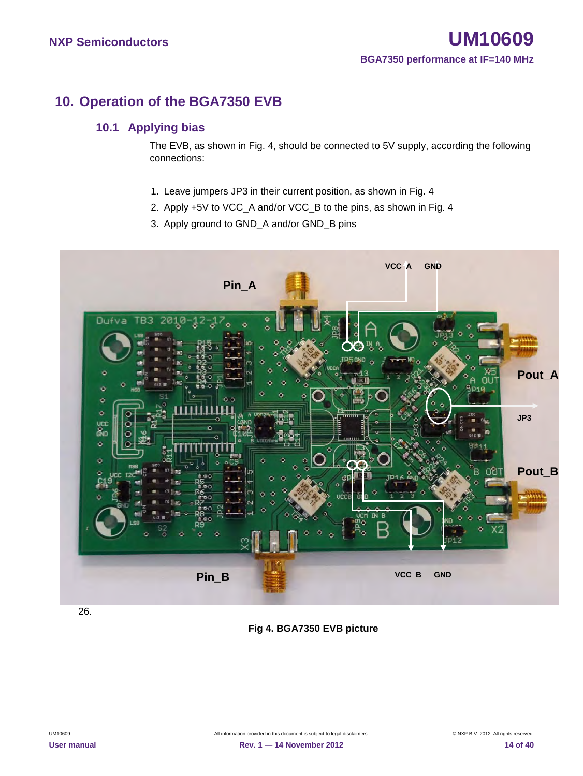### <span id="page-13-0"></span>**10. Operation of the BGA7350 EVB**

### <span id="page-13-1"></span>**10.1 Applying bias**

The EVB, as shown in Fig. 4, should be connected to 5V supply, according the following connections:

- 1. Leave jumpers JP3 in their current position, as shown in Fig. 4
- 2. Apply +5V to VCC\_A and/or VCC\_B to the pins, as shown in Fig. 4
- 3. Apply ground to GND\_A and/or GND\_B pins



26.

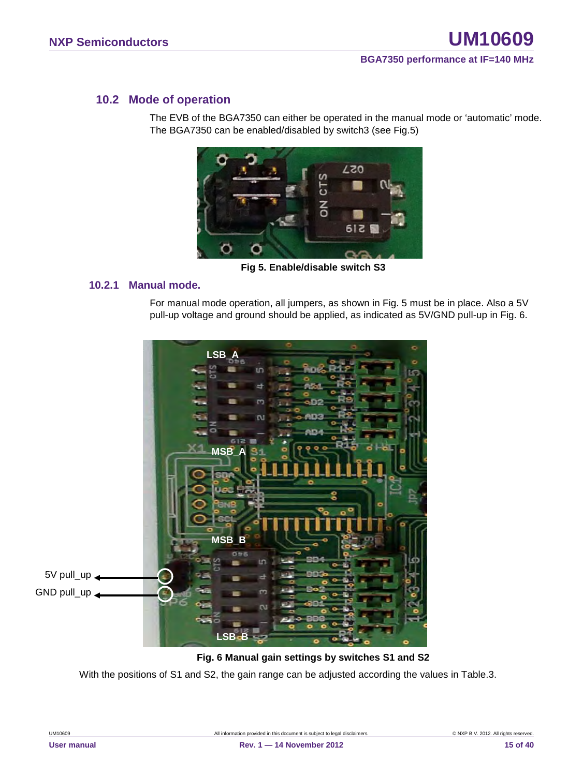### <span id="page-14-0"></span>**10.2 Mode of operation**

The EVB of the BGA7350 can either be operated in the manual mode or 'automatic' mode. The BGA7350 can be enabled/disabled by switch3 (see Fig.5)



**Fig 5. Enable/disable switch S3**

### <span id="page-14-1"></span>**10.2.1 Manual mode.**

For manual mode operation, all jumpers, as shown in Fig. 5 must be in place. Also a 5V pull-up voltage and ground should be applied, as indicated as 5V/GND pull-up in Fig. 6.



#### **Fig. 6 Manual gain settings by switches S1 and S2**

With the positions of S1 and S2, the gain range can be adjusted according the values in Table.3.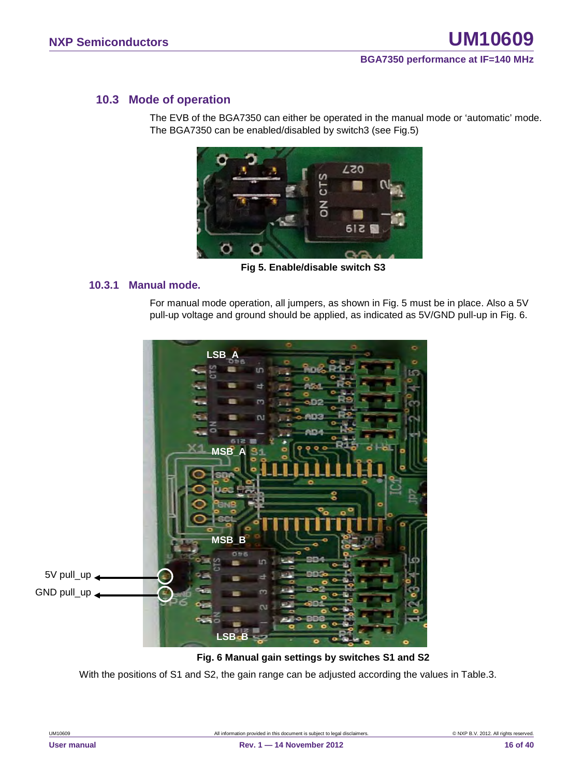### <span id="page-15-0"></span>**10.3 Mode of operation**

The EVB of the BGA7350 can either be operated in the manual mode or 'automatic' mode. The BGA7350 can be enabled/disabled by switch3 (see Fig.5)



**Fig 5. Enable/disable switch S3**

### <span id="page-15-1"></span>**10.3.1 Manual mode.**

For manual mode operation, all jumpers, as shown in Fig. 5 must be in place. Also a 5V pull-up voltage and ground should be applied, as indicated as 5V/GND pull-up in Fig. 6.



#### **Fig. 6 Manual gain settings by switches S1 and S2**

With the positions of S1 and S2, the gain range can be adjusted according the values in Table.3.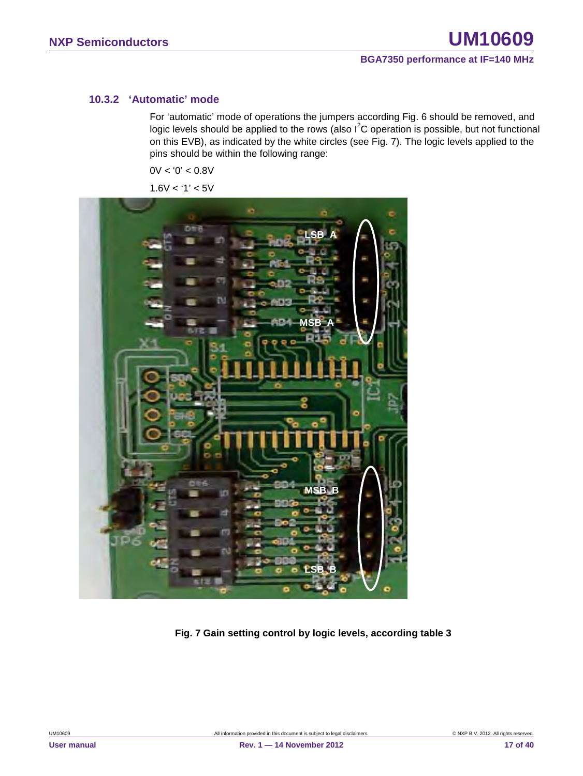### <span id="page-16-0"></span>**10.3.2 'Automatic' mode**

For 'automatic' mode of operations the jumpers according Fig. 6 should be removed, and logic levels should be applied to the rows (also  $I^2C$  operation is possible, but not functional on this EVB), as indicated by the white circles (see Fig. 7). The logic levels applied to the pins should be within the following range:

 $0V < 0' < 0.8V$ 

 $1.6V < 1' < 5V$ 



**Fig. 7 Gain setting control by logic levels, according table 3**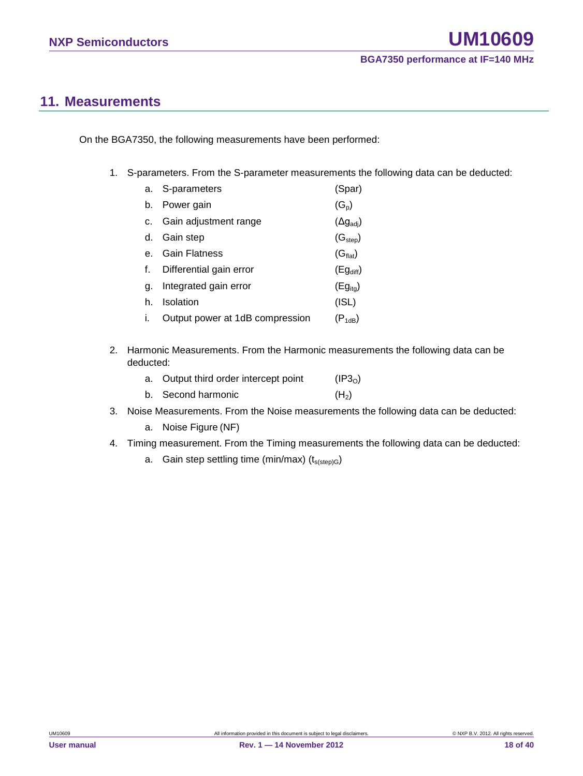### <span id="page-17-0"></span>**11. Measurements**

On the BGA7350, the following measurements have been performed:

1. S-parameters. From the S-parameter measurements the following data can be deducted:

|    | a. S-parameters                 | (Spar)                    |
|----|---------------------------------|---------------------------|
| b. | Power gain                      | $(G_p)$                   |
| C. | Gain adjustment range           | $(\Delta g_{\text{adj}})$ |
| d. | Gain step                       | (G <sub>step</sub> )      |
|    | <b>Gain Flatness</b>            | (G <sub>flat</sub> )      |
|    | Differential gain error         | $(Eg_{diff})$             |
| α. | Integrated gain error           | $(Eg_{ita})$              |
| h. | Isolation                       | (ISL)                     |
|    | Output power at 1dB compression | $(P_{1dB})$               |

2. Harmonic Measurements. From the Harmonic measurements the following data can be deducted:

| a. Output third order intercept point | (IP3 <sub>0</sub> ) |
|---------------------------------------|---------------------|
| b. Second harmonic                    | (H <sub>2</sub> )   |

- 3. Noise Measurements. From the Noise measurements the following data can be deducted:
	- a. Noise Figure (NF)
- 4. Timing measurement. From the Timing measurements the following data can be deducted:
	- a. Gain step settling time (min/max)  $(t_{s(sep)G})$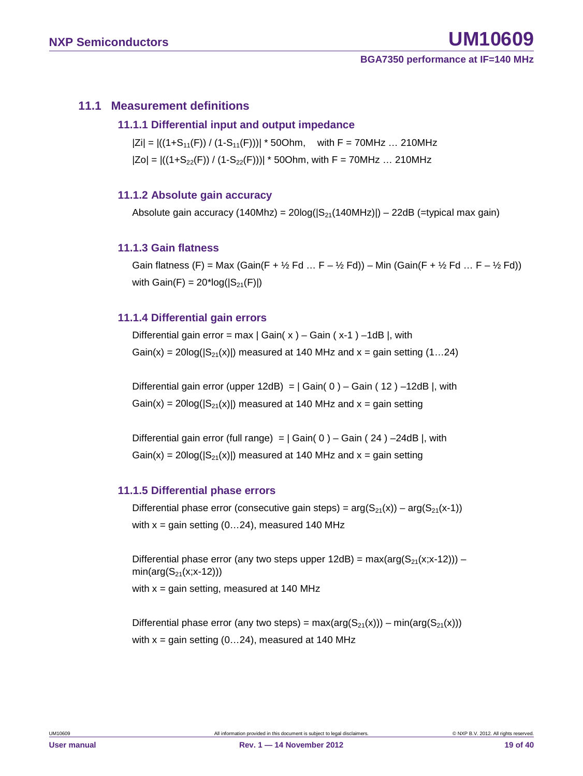### <span id="page-18-1"></span><span id="page-18-0"></span>**11.1 Measurement definitions**

### **11.1.1 Differential input and output impedance**

 $|Zi| = |((1+S_{11}(F)) / (1-S_{11}(F)))| * 50Ohm$ , with F = 70MHz ... 210MHz  $|Zo| = |((1+S_{22}(F)) / (1-S_{22}(F)))| * 50Ohm$ , with F = 70MHz ... 210MHz

### <span id="page-18-2"></span>**11.1.2 Absolute gain accuracy**

Absolute gain accuracy (140Mhz) =  $20\log(|S_{21}(140MHz)|) - 22dB$  (=typical max gain)

### <span id="page-18-3"></span>**11.1.3 Gain flatness**

Gain flatness (F) = Max (Gain(F +  $\frac{1}{2}$  Fd ... F –  $\frac{1}{2}$  Fd)) – Min (Gain(F +  $\frac{1}{2}$  Fd ... F –  $\frac{1}{2}$  Fd)) with  $Gain(F) = 20*log(|S_{21}(F)|)$ 

### <span id="page-18-4"></span>**11.1.4 Differential gain errors**

Differential gain error = max  $|$  Gain( x  $)$  – Gain (x-1) –1dB |, with Gain(x) =  $20\log(|S_{21}(x)|)$  measured at 140 MHz and x = gain setting (1...24)

Differential gain error (upper 12dB) =  $|$  Gain( 0 ) – Gain ( 12 ) –12dB |, with  $Gain(x) = 20log(|S_{21}(x)|)$  measured at 140 MHz and  $x = gain$  setting

Differential gain error (full range) =  $|$  Gain( 0 ) – Gain ( 24 ) –24dB |, with  $Gain(x) = 20log(|S_{21}(x)|)$  measured at 140 MHz and  $x = gain$  setting

### <span id="page-18-5"></span>**11.1.5 Differential phase errors**

Differential phase error (consecutive gain steps) =  $arg(S_{21}(x)) - arg(S_{21}(x-1))$ with  $x =$  gain setting (0...24), measured 140 MHz

Differential phase error (any two steps upper  $12dB$ ) = max(arg( $S_{21}(x;x-12)$ )) –  $min(arg(S_{21}(x; x-12)))$ with  $x =$  gain setting, measured at 140 MHz

Differential phase error (any two steps) =  $max(arg(S_{21}(x))) - min(arg(S_{21}(x)))$ with  $x =$  gain setting (0...24), measured at 140 MHz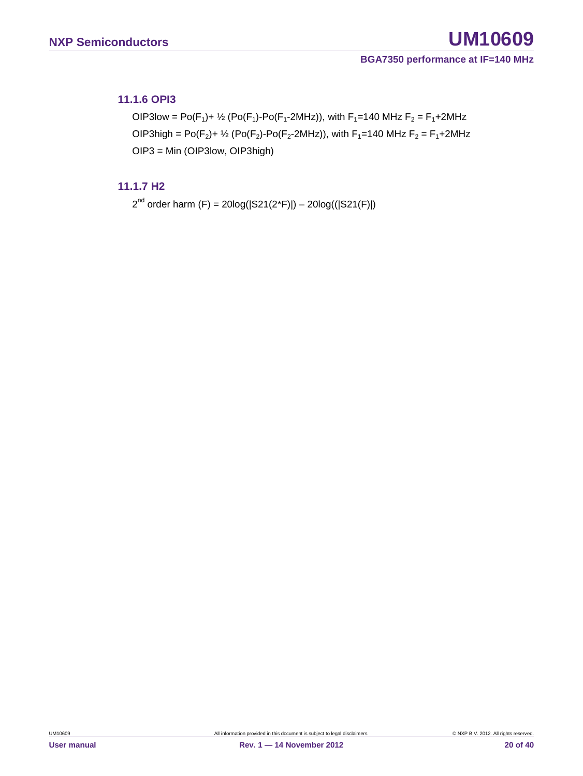### <span id="page-19-0"></span>**11.1.6 OPI3**

OIP3low = Po(F<sub>1</sub>)+ <sup>1</sup>/<sub>2</sub> (Po(F<sub>1</sub>)-Po(F<sub>1</sub>-2MHz)), with F<sub>1</sub>=140 MHz F<sub>2</sub> = F<sub>1</sub>+2MHz OIP3high = Po( $F_2$ )+  $\frac{1}{2}$  (Po( $F_2$ )-Po( $F_2$ -2MHz)), with  $F_1$ =140 MHz  $F_2 = F_1 + 2M$ Hz OIP3 = Min (OIP3low, OIP3high)

### <span id="page-19-1"></span>**11.1.7 H2**

 $2^{nd}$  order harm (F) = 20log( $|S21(2<sup>*</sup>F)|$ ) – 20log( $(|S21(F)|)$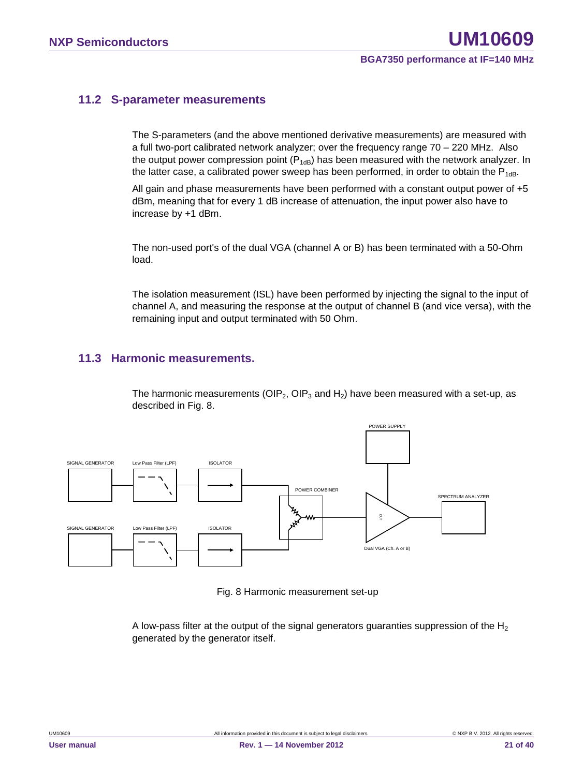### <span id="page-20-0"></span>**11.2 S-parameter measurements**

The S-parameters (and the above mentioned derivative measurements) are measured with a full two-port calibrated network analyzer; over the frequency range 70 – 220 MHz. Also the output power compression point  $(P_{1dB})$  has been measured with the network analyzer. In the latter case, a calibrated power sweep has been performed, in order to obtain the  $P_{1dB}$ .

All gain and phase measurements have been performed with a constant output power of +5 dBm, meaning that for every 1 dB increase of attenuation, the input power also have to increase by +1 dBm.

The non-used port's of the dual VGA (channel A or B) has been terminated with a 50-Ohm load.

The isolation measurement (ISL) have been performed by injecting the signal to the input of channel A, and measuring the response at the output of channel B (and vice versa), with the remaining input and output terminated with 50 Ohm.

### <span id="page-20-1"></span>**11.3 Harmonic measurements.**

The harmonic measurements (OIP<sub>2</sub>, OIP<sub>3</sub> and H<sub>2</sub>) have been measured with a set-up, as described in Fig. 8.



Fig. 8 Harmonic measurement set-up

A low-pass filter at the output of the signal generators guaranties suppression of the  $H_2$ generated by the generator itself.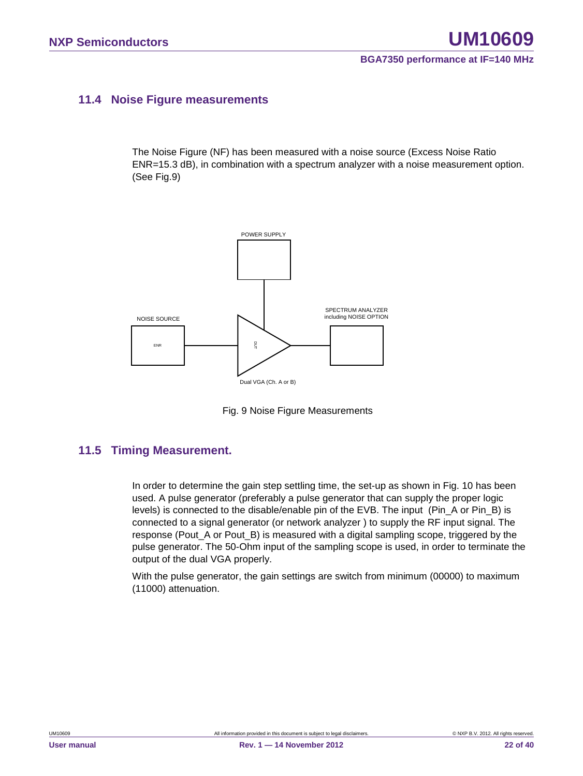### <span id="page-21-0"></span>**11.4 Noise Figure measurements**

The Noise Figure (NF) has been measured with a noise source (Excess Noise Ratio ENR=15.3 dB), in combination with a spectrum analyzer with a noise measurement option. (See Fig.9)



Fig. 9 Noise Figure Measurements

### <span id="page-21-1"></span>**11.5 Timing Measurement.**

In order to determine the gain step settling time, the set-up as shown in Fig. 10 has been used. A pulse generator (preferably a pulse generator that can supply the proper logic levels) is connected to the disable/enable pin of the EVB. The input (Pin\_A or Pin\_B) is connected to a signal generator (or network analyzer ) to supply the RF input signal. The response (Pout A or Pout B) is measured with a digital sampling scope, triggered by the pulse generator. The 50-Ohm input of the sampling scope is used, in order to terminate the output of the dual VGA properly.

With the pulse generator, the gain settings are switch from minimum (00000) to maximum (11000) attenuation.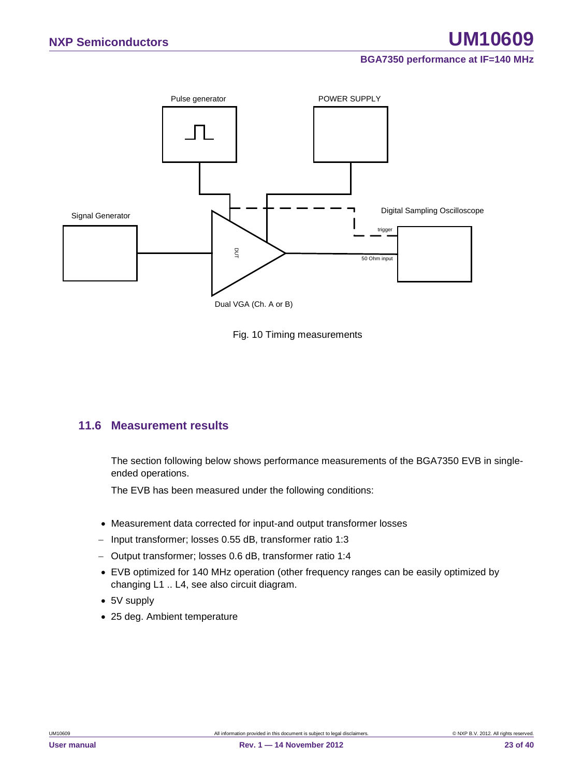



### <span id="page-22-0"></span>**11.6 Measurement results**

The section following below shows performance measurements of the BGA7350 EVB in singleended operations.

The EVB has been measured under the following conditions:

- Measurement data corrected for input-and output transformer losses
- − Input transformer; losses 0.55 dB, transformer ratio 1:3
- − Output transformer; losses 0.6 dB, transformer ratio 1:4
- EVB optimized for 140 MHz operation (other frequency ranges can be easily optimized by changing L1 .. L4, see also circuit diagram.
- 5V supply
-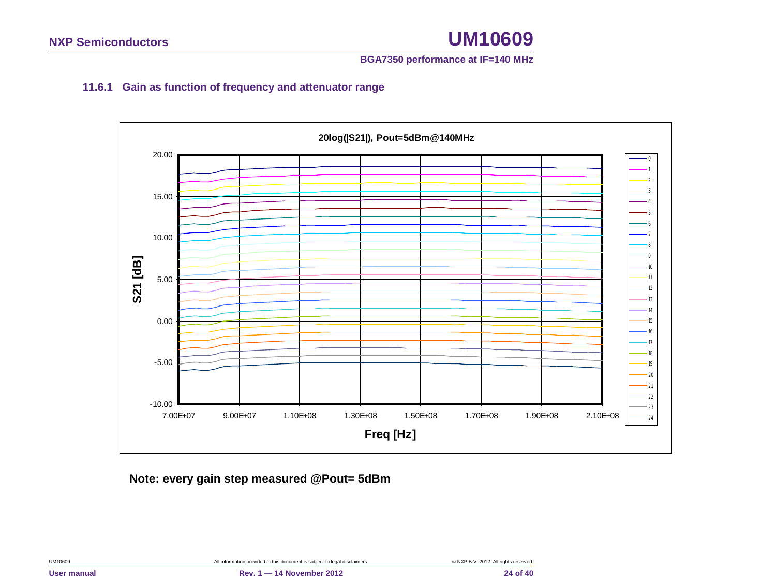### **BGA7350 performance at IF=140 MHz**

### **11.6.1 Gain as function of frequency and attenuator range**

<span id="page-23-0"></span>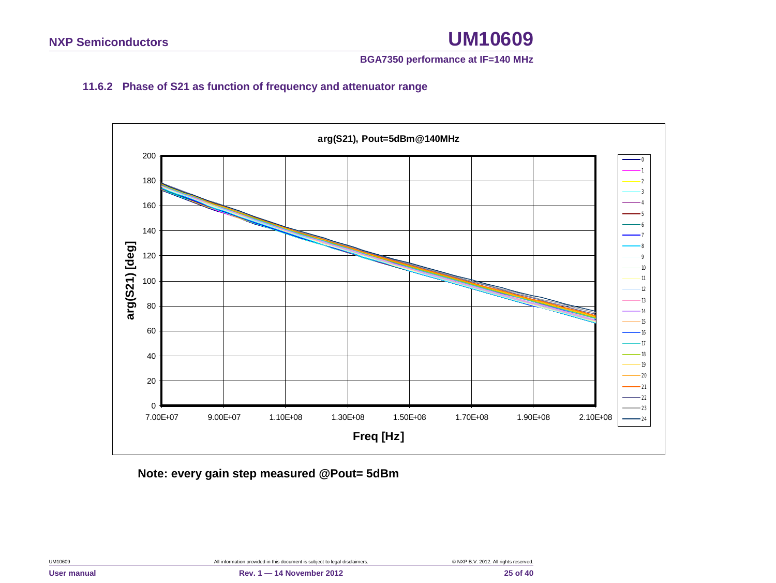### **BGA7350 performance at IF=140 MHz**

### **11.6.2 Phase of S21 as function of frequency and attenuator range**

<span id="page-24-0"></span>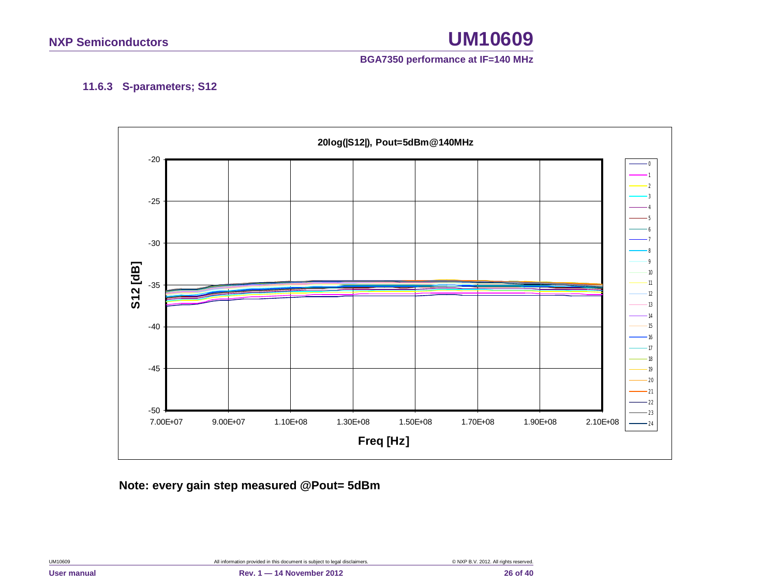### **BGA7350 performance at IF=140 MHz**

### **11.6.3 S-parameters; S12**

<span id="page-25-0"></span>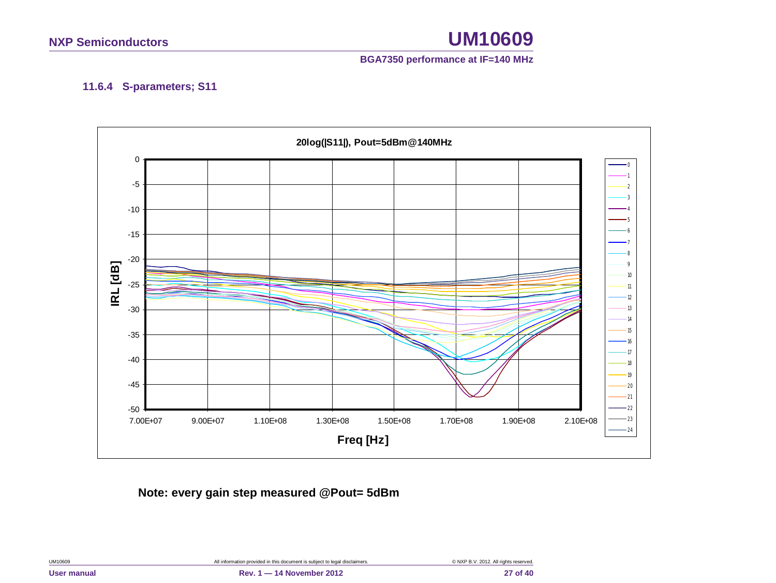

### **11.6.4 S-parameters; S11**

<span id="page-26-0"></span>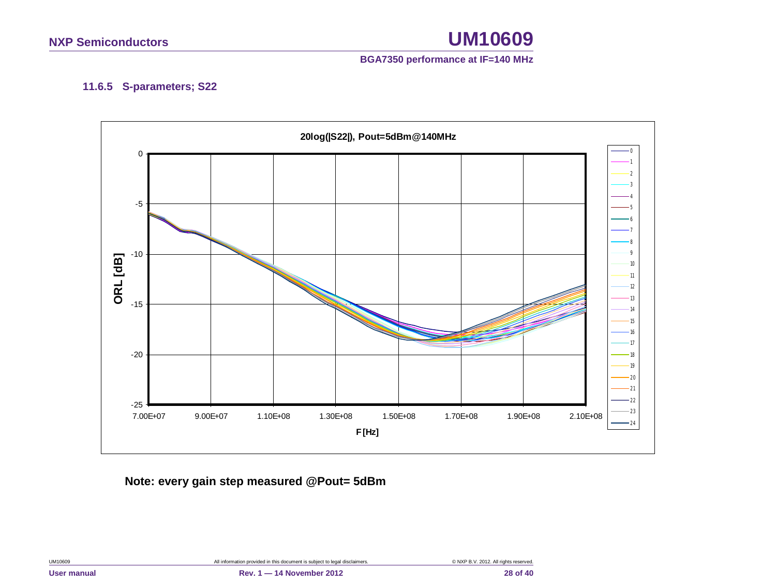

### **11.6.5 S-parameters; S22**

<span id="page-27-0"></span>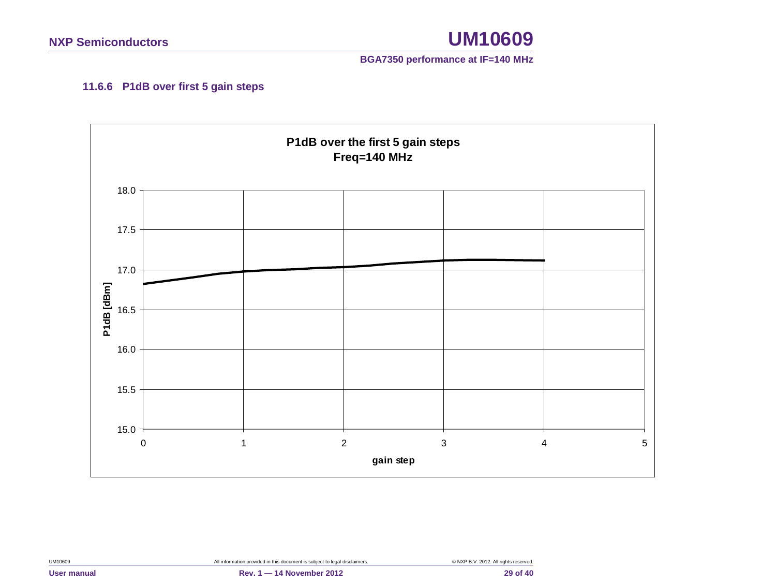

### **11.6.6 P1dB over first 5 gain steps**

<span id="page-28-0"></span>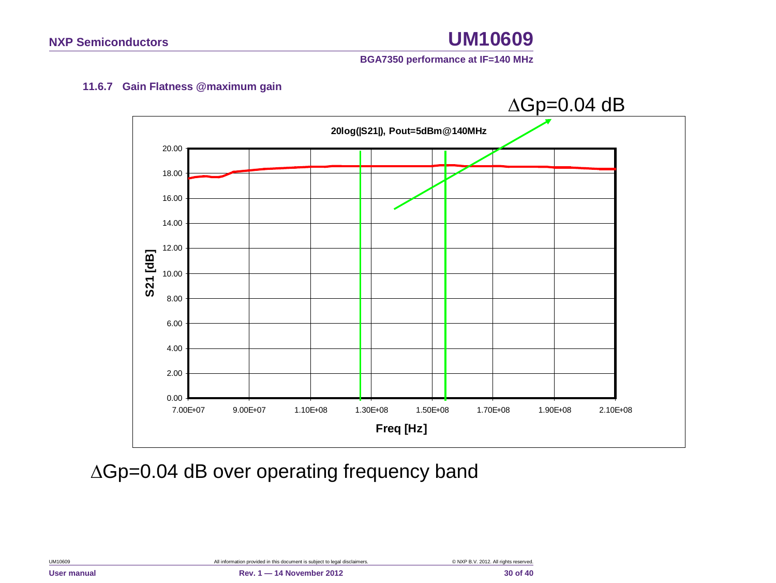

### **11.6.7 Gain Flatness @maximum gain**

<span id="page-29-0"></span>

∆Gp=0.04 dB over operating frequency band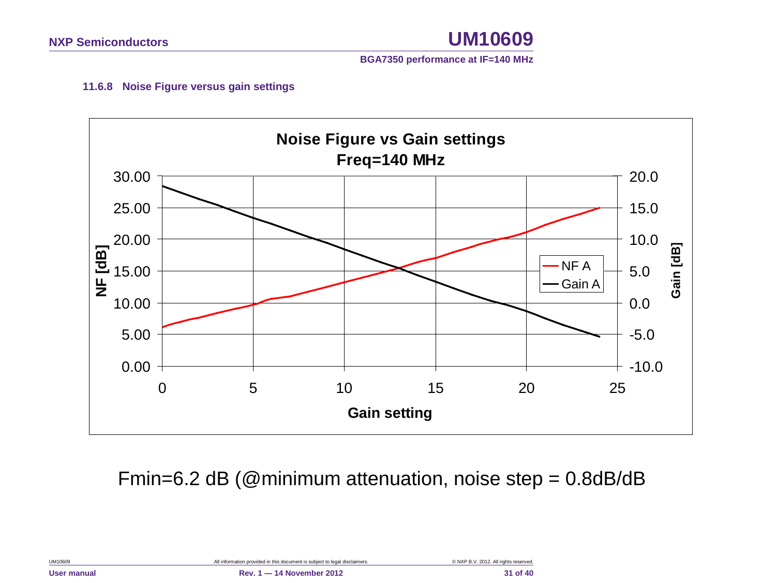

### **11.6.8 Noise Figure versus gain settings**

<span id="page-30-0"></span>

Fmin=6.2 dB (@minimum attenuation, noise step = 0.8dB/dB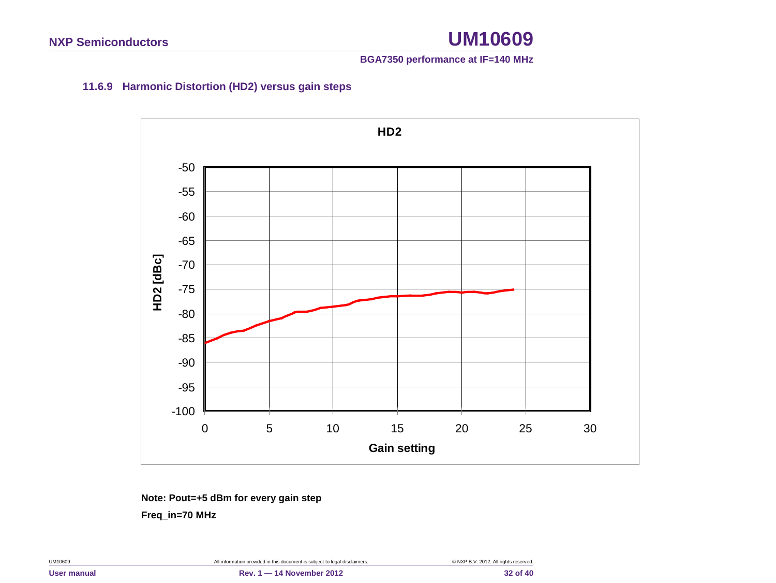### **BGA7350 performance at IF=140 MHz**

### **11.6.9 Harmonic Distortion (HD2) versus gain steps**

<span id="page-31-0"></span>

**Note: Pout=+5 dBm for every gain step**

 **Freq\_in=70 MHz**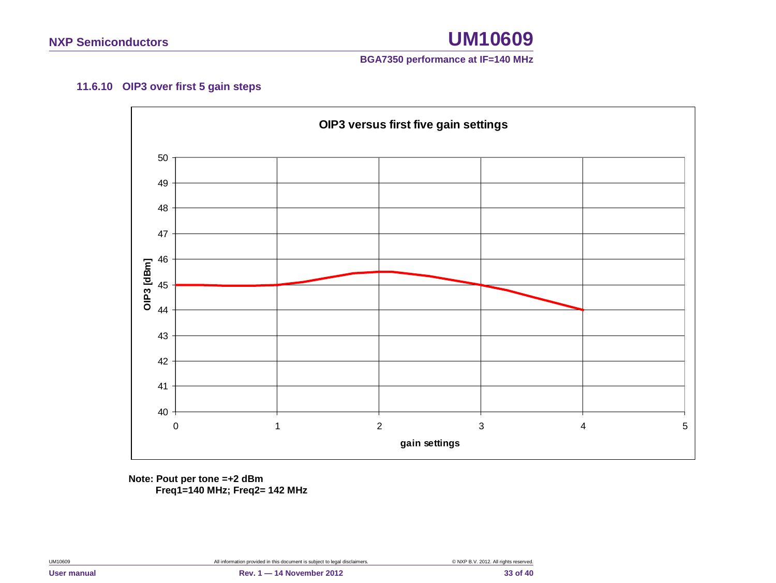

### **11.6.10 OIP3 over first 5 gain steps**

<span id="page-32-0"></span>

**Note: Pout per tone =+2 dBm Freq1=140 MHz; Freq2= 142 MHz**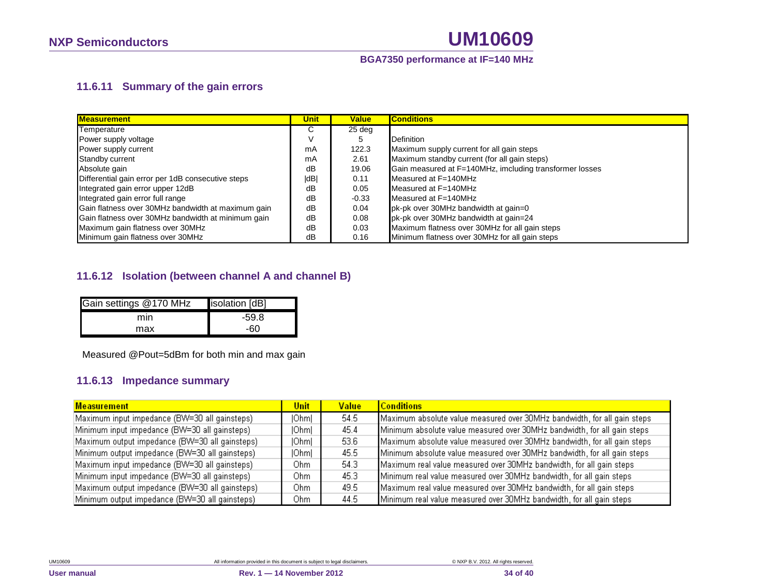### **11.6.11 Summary of the gain errors**

| <b>Measurement</b>                                 | Unit | <b>Value</b> | <b>Conditions</b>                                       |
|----------------------------------------------------|------|--------------|---------------------------------------------------------|
| Temperature                                        | С    | 25 deg       |                                                         |
| Power supply voltage                               |      |              | <b>Definition</b>                                       |
| Power supply current                               | mA   | 122.3        | Maximum supply current for all gain steps               |
| Standby current                                    | mA   | 2.61         | Maximum standby current (for all gain steps)            |
| Absolute gain                                      | dB   | 19.06        | Gain measured at F=140MHz, imcluding transformer losses |
| Differential gain error per 1dB consecutive steps  | dB   | 0.11         | Measured at F=140MHz                                    |
| Integrated gain error upper 12dB                   | dB   | 0.05         | Measured at F=140MHz                                    |
| Integrated gain error full range                   | dB   | $-0.33$      | Measured at F=140MHz                                    |
| Gain flatness over 30MHz bandwidth at maximum gain | dB   | 0.04         | pk-pk over 30MHz bandwidth at gain=0                    |
| Gain flatness over 30MHz bandwidth at minimum gain | dB   | 0.08         | pk-pk over 30MHz bandwidth at gain=24                   |
| Maximum gain flatness over 30MHz                   | dB   | 0.03         | Maximum flatness over 30MHz for all gain steps          |
| Minimum gain flatness over 30MHz                   | dB   | 0.16         | Minimum flatness over 30MHz for all gain steps          |

### <span id="page-33-0"></span>**11.6.12 Isolation (between channel A and channel B)**

| Gain settings @170 MHz | isolation [dB] |
|------------------------|----------------|
| mın                    | $-59.8$        |
| max                    | -60            |

Measured @Pout=5dBm for both min and max gain

### **11.6.13 Impedance summary**

<span id="page-33-2"></span><span id="page-33-1"></span>

| <b>Measurement</b>                             | Unit         | <b>Value</b> | <b>Conditions</b>                                                        |
|------------------------------------------------|--------------|--------------|--------------------------------------------------------------------------|
| Maximum input impedance (BW=30 all gainsteps)  | [Ohm]        | 54.5         | Maximum absolute value measured over 30MHz bandwidth, for all gain steps |
| Minimum input impedance (BW=30 all gainsteps)  | <b>IOhml</b> | 45.4         | Minimum absolute value measured over 30MHz bandwidth, for all gain steps |
| Maximum output impedance (BW=30 all gainsteps) | [Ohm]        | 53.6         | Maximum absolute value measured over 30MHz bandwidth, for all gain steps |
| Minimum output impedance (BW=30 all gainsteps) | <b>IOhml</b> | 45.5         | Minimum absolute value measured over 30MHz bandwidth, for all gain steps |
| Maximum input impedance (BW=30 all gainsteps)  | Ohm          | 54.3         | Maximum real value measured over 30MHz bandwidth, for all gain steps     |
| Minimum input impedance (BW=30 all gainsteps)  | Ohm          | 45.3         | Minimum real value measured over 30MHz bandwidth, for all gain steps     |
| Maximum output impedance (BW=30 all gainsteps) | Ohm          | 49.5         | Maximum real value measured over 30MHz bandwidth, for all gain steps     |
| Minimum output impedance (BW=30 all gainsteps) | Ohm          | 44.5         | Minimum real value measured over 30MHz bandwidth, for all gain steps     |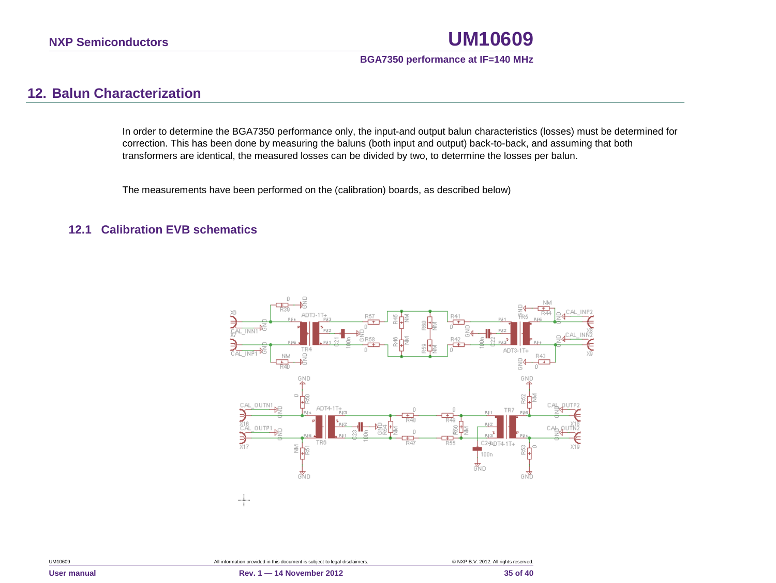### **BGA7350 performance at IF=140 MHz**

### **12. Balun Characterization**

In order to determine the BGA7350 performance only, the input-and output balun characteristics (losses) must be determined for correction. This has been done by measuring the baluns (both input and output) back-to-back, and assuming that both transformers are identical, the measured losses can be divided by two, to determine the losses per balun.

The measurements have been performed on the (calibration) boards, as described below)

### <span id="page-34-1"></span><span id="page-34-0"></span>**12.1 Calibration EVB schematics**

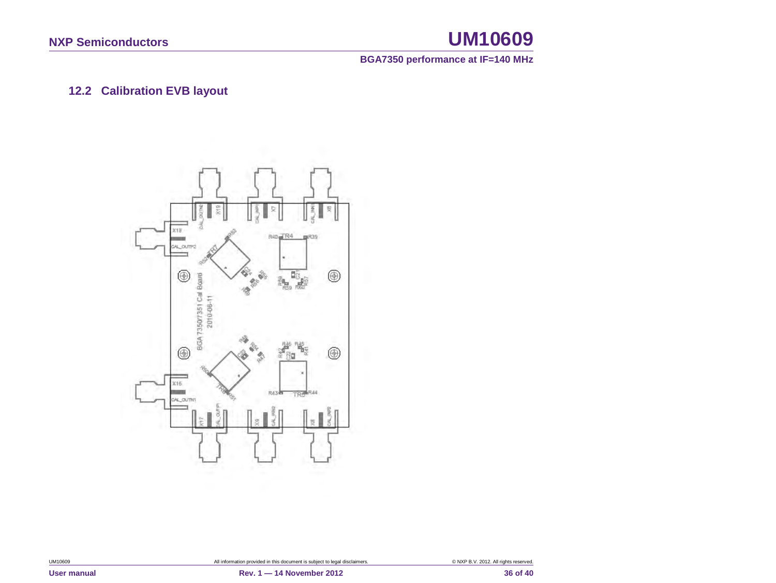**BGA7350 performance at IF=140 MHz**

### **12.2 Calibration EVB layout**

<span id="page-35-0"></span>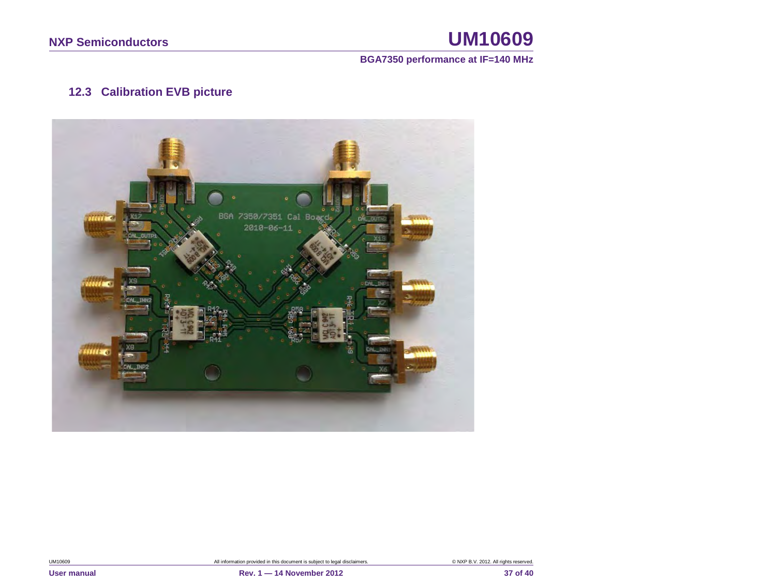### **BGA7350 performance at IF=140 MHz**

### **12.3 Calibration EVB picture**

<span id="page-36-0"></span>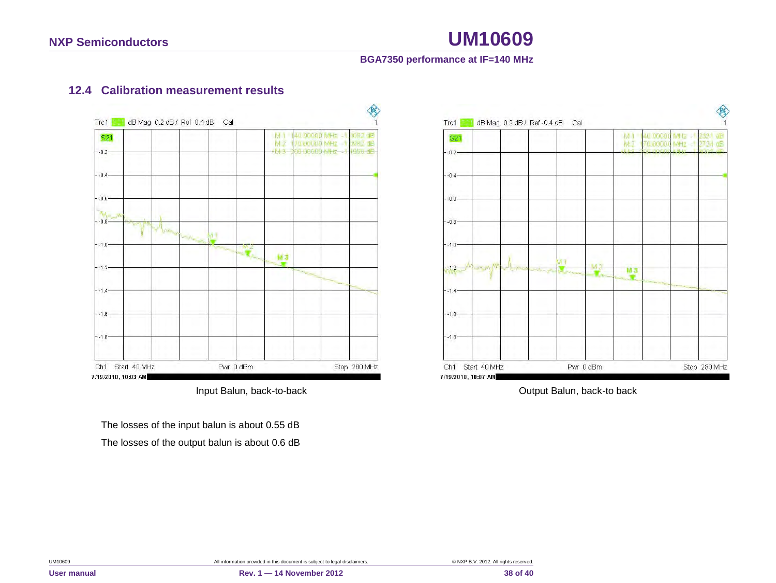### **BGA7350 performance at IF=140 MHz**

### **12.4 Calibration measurement results**



<span id="page-37-0"></span>The losses of the input balun is about 0.55 dB The losses of the output balun is about 0.6 dB



Input Balun, back-to-back **Input Balun**, back-to back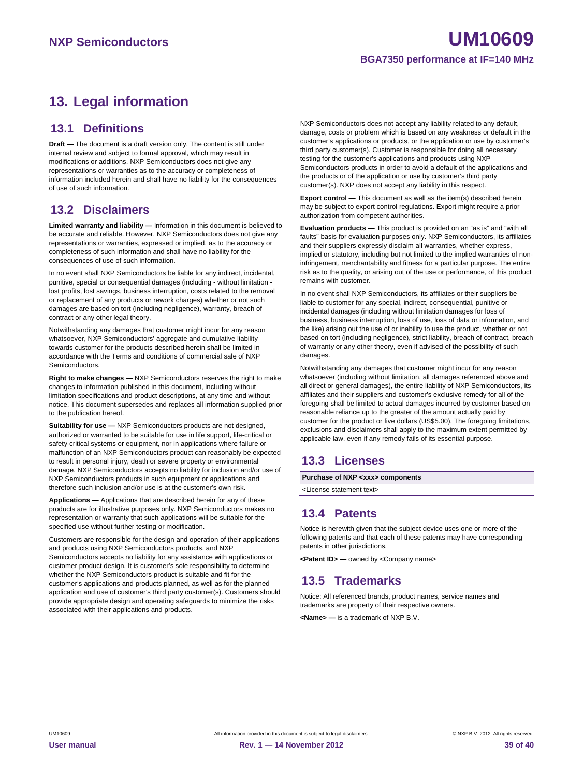### <span id="page-38-0"></span>**13. Legal information**

### <span id="page-38-1"></span>**13.1 Definitions**

**Draft —** The document is a draft version only. The content is still under internal review and subject to formal approval, which may result in modifications or additions. NXP Semiconductors does not give any representations or warranties as to the accuracy or completeness of information included herein and shall have no liability for the consequences of use of such information.

### <span id="page-38-2"></span>**13.2 Disclaimers**

**Limited warranty and liability —** Information in this document is believed to be accurate and reliable. However, NXP Semiconductors does not give any representations or warranties, expressed or implied, as to the accuracy or completeness of such information and shall have no liability for the consequences of use of such information.

In no event shall NXP Semiconductors be liable for any indirect, incidental, punitive, special or consequential damages (including - without limitation lost profits, lost savings, business interruption, costs related to the removal or replacement of any products or rework charges) whether or not such damages are based on tort (including negligence), warranty, breach of contract or any other legal theory.

Notwithstanding any damages that customer might incur for any reason whatsoever, NXP Semiconductors' aggregate and cumulative liability towards customer for the products described herein shall be limited in accordance with the Terms and conditions of commercial sale of NXP Semiconductors.

**Right to make changes —** NXP Semiconductors reserves the right to make changes to information published in this document, including without limitation specifications and product descriptions, at any time and without notice. This document supersedes and replaces all information supplied prior to the publication hereof.

**Suitability for use —** NXP Semiconductors products are not designed, authorized or warranted to be suitable for use in life support, life-critical or safety-critical systems or equipment, nor in applications where failure or malfunction of an NXP Semiconductors product can reasonably be expected to result in personal injury, death or severe property or environmental damage. NXP Semiconductors accepts no liability for inclusion and/or use of NXP Semiconductors products in such equipment or applications and therefore such inclusion and/or use is at the customer's own risk.

**Applications —** Applications that are described herein for any of these products are for illustrative purposes only. NXP Semiconductors makes no representation or warranty that such applications will be suitable for the specified use without further testing or modification.

Customers are responsible for the design and operation of their applications and products using NXP Semiconductors products, and NXP Semiconductors accepts no liability for any assistance with applications or customer product design. It is customer's sole responsibility to determine whether the NXP Semiconductors product is suitable and fit for the customer's applications and products planned, as well as for the planned application and use of customer's third party customer(s). Customers should provide appropriate design and operating safeguards to minimize the risks associated with their applications and products.

NXP Semiconductors does not accept any liability related to any default, damage, costs or problem which is based on any weakness or default in the customer's applications or products, or the application or use by customer's third party customer(s). Customer is responsible for doing all necessary testing for the customer's applications and products using NXP Semiconductors products in order to avoid a default of the applications and the products or of the application or use by customer's third party customer(s). NXP does not accept any liability in this respect.

**Export control —** This document as well as the item(s) described herein may be subject to export control regulations. Export might require a prior authorization from competent authorities.

**Evaluation products —** This product is provided on an "as is" and "with all faults" basis for evaluation purposes only. NXP Semiconductors, its affiliates and their suppliers expressly disclaim all warranties, whether express, implied or statutory, including but not limited to the implied warranties of noninfringement, merchantability and fitness for a particular purpose. The entire risk as to the quality, or arising out of the use or performance, of this product remains with customer.

In no event shall NXP Semiconductors, its affiliates or their suppliers be liable to customer for any special, indirect, consequential, punitive or incidental damages (including without limitation damages for loss of business, business interruption, loss of use, loss of data or information, and the like) arising out the use of or inability to use the product, whether or not based on tort (including negligence), strict liability, breach of contract, breach of warranty or any other theory, even if advised of the possibility of such damages

Notwithstanding any damages that customer might incur for any reason whatsoever (including without limitation, all damages referenced above and all direct or general damages), the entire liability of NXP Semiconductors, its affiliates and their suppliers and customer's exclusive remedy for all of the foregoing shall be limited to actual damages incurred by customer based on reasonable reliance up to the greater of the amount actually paid by customer for the product or five dollars (US\$5.00). The foregoing limitations, exclusions and disclaimers shall apply to the maximum extent permitted by applicable law, even if any remedy fails of its essential purpose.

### <span id="page-38-3"></span>**13.3 Licenses**

**Purchase of NXP <xxx> components**

<span id="page-38-4"></span><License statement text>

### **13.4 Patents**

Notice is herewith given that the subject device uses one or more of the following patents and that each of these patents may have corresponding patents in other jurisdictions.

<span id="page-38-5"></span>**<Patent ID> —** owned by <Company name>

### **13.5 Trademarks**

Notice: All referenced brands, product names, service names and trademarks are property of their respective owners.

**<Name> —** is a trademark of NXP B.V.